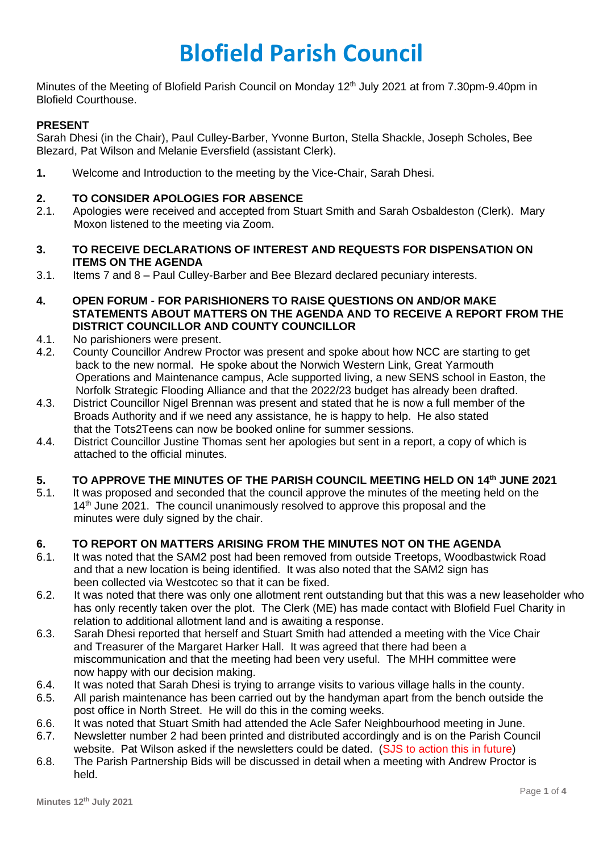# **Blofield Parish Council**

Minutes of the Meeting of Blofield Parish Council on Monday 12<sup>th</sup> July 2021 at from 7.30pm-9.40pm in Blofield Courthouse.

# **PRESENT**

Sarah Dhesi (in the Chair), Paul Culley-Barber, Yvonne Burton, Stella Shackle, Joseph Scholes, Bee Blezard, Pat Wilson and Melanie Eversfield (assistant Clerk).

**1.** Welcome and Introduction to the meeting by the Vice-Chair, Sarah Dhesi.

## **2. TO CONSIDER APOLOGIES FOR ABSENCE**

- 2.1. Apologies were received and accepted from Stuart Smith and Sarah Osbaldeston (Clerk). Mary Moxon listened to the meeting via Zoom.
- **3. TO RECEIVE DECLARATIONS OF INTEREST AND REQUESTS FOR DISPENSATION ON ITEMS ON THE AGENDA**
- 3.1. Items 7 and 8 Paul Culley-Barber and Bee Blezard declared pecuniary interests.
- **4. OPEN FORUM - FOR PARISHIONERS TO RAISE QUESTIONS ON AND/OR MAKE STATEMENTS ABOUT MATTERS ON THE AGENDA AND TO RECEIVE A REPORT FROM THE DISTRICT COUNCILLOR AND COUNTY COUNCILLOR**
- 4.1. No parishioners were present.
- 4.2. County Councillor Andrew Proctor was present and spoke about how NCC are starting to get back to the new normal. He spoke about the Norwich Western Link, Great Yarmouth Operations and Maintenance campus, Acle supported living, a new SENS school in Easton, the Norfolk Strategic Flooding Alliance and that the 2022/23 budget has already been drafted.
- 4.3. District Councillor Nigel Brennan was present and stated that he is now a full member of the Broads Authority and if we need any assistance, he is happy to help. He also stated that the Tots2Teens can now be booked online for summer sessions.
- 4.4. District Councillor Justine Thomas sent her apologies but sent in a report, a copy of which is attached to the official minutes.

# **5. TO APPROVE THE MINUTES OF THE PARISH COUNCIL MEETING HELD ON 14th JUNE 2021**

5.1. It was proposed and seconded that the council approve the minutes of the meeting held on the 14<sup>th</sup> June 2021. The council unanimously resolved to approve this proposal and the minutes were duly signed by the chair.

# **6. TO REPORT ON MATTERS ARISING FROM THE MINUTES NOT ON THE AGENDA**

- 6.1. It was noted that the SAM2 post had been removed from outside Treetops, Woodbastwick Road and that a new location is being identified. It was also noted that the SAM2 sign has been collected via Westcotec so that it can be fixed.
- 6.2. It was noted that there was only one allotment rent outstanding but that this was a new leaseholder who has only recently taken over the plot. The Clerk (ME) has made contact with Blofield Fuel Charity in relation to additional allotment land and is awaiting a response.
- 6.3. Sarah Dhesi reported that herself and Stuart Smith had attended a meeting with the Vice Chair and Treasurer of the Margaret Harker Hall. It was agreed that there had been a miscommunication and that the meeting had been very useful. The MHH committee were now happy with our decision making.
- 6.4. It was noted that Sarah Dhesi is trying to arrange visits to various village halls in the county.
- 6.5. All parish maintenance has been carried out by the handyman apart from the bench outside the post office in North Street. He will do this in the coming weeks.
- 6.6. It was noted that Stuart Smith had attended the Acle Safer Neighbourhood meeting in June.
- 6.7. Newsletter number 2 had been printed and distributed accordingly and is on the Parish Council website. Pat Wilson asked if the newsletters could be dated. (SJS to action this in future)
- 6.8. The Parish Partnership Bids will be discussed in detail when a meeting with Andrew Proctor is held.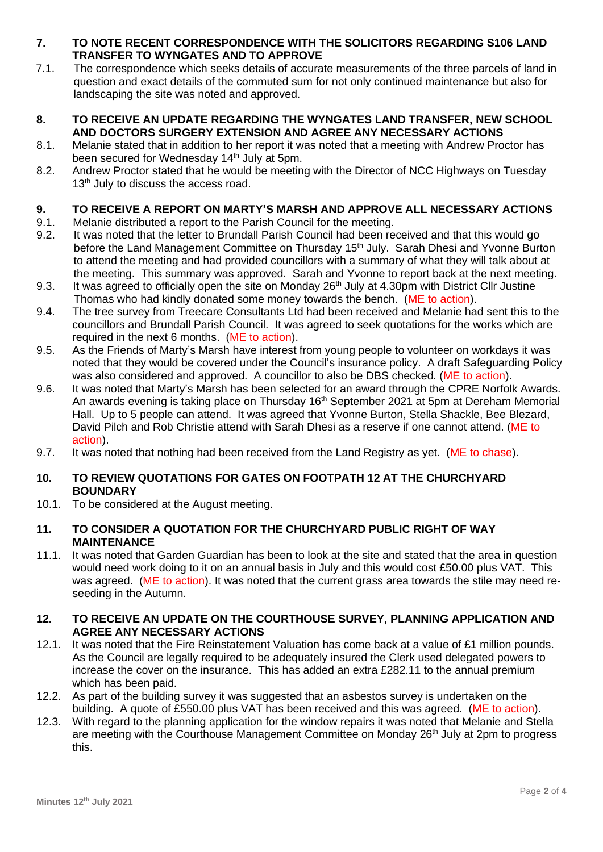- **7. TO NOTE RECENT CORRESPONDENCE WITH THE SOLICITORS REGARDING S106 LAND TRANSFER TO WYNGATES AND TO APPROVE**
- 7.1. The correspondence which seeks details of accurate measurements of the three parcels of land in question and exact details of the commuted sum for not only continued maintenance but also for landscaping the site was noted and approved.
- **8. TO RECEIVE AN UPDATE REGARDING THE WYNGATES LAND TRANSFER, NEW SCHOOL AND DOCTORS SURGERY EXTENSION AND AGREE ANY NECESSARY ACTIONS**
- 8.1. Melanie stated that in addition to her report it was noted that a meeting with Andrew Proctor has been secured for Wednesday 14<sup>th</sup> July at 5pm.
- 8.2. Andrew Proctor stated that he would be meeting with the Director of NCC Highways on Tuesday 13<sup>th</sup> July to discuss the access road.

# **9. TO RECEIVE A REPORT ON MARTY'S MARSH AND APPROVE ALL NECESSARY ACTIONS**

- 9.1. Melanie distributed a report to the Parish Council for the meeting.
- 9.2. It was noted that the letter to Brundall Parish Council had been received and that this would go before the Land Management Committee on Thursday 15<sup>th</sup> July. Sarah Dhesi and Yvonne Burton to attend the meeting and had provided councillors with a summary of what they will talk about at the meeting. This summary was approved. Sarah and Yvonne to report back at the next meeting.
- 9.3. It was agreed to officially open the site on Monday 26<sup>th</sup> July at 4.30pm with District Cllr Justine Thomas who had kindly donated some money towards the bench. (ME to action).
- 9.4. The tree survey from Treecare Consultants Ltd had been received and Melanie had sent this to the councillors and Brundall Parish Council. It was agreed to seek quotations for the works which are required in the next 6 months. (ME to action).
- 9.5. As the Friends of Marty's Marsh have interest from young people to volunteer on workdays it was noted that they would be covered under the Council's insurance policy. A draft Safeguarding Policy was also considered and approved. A councillor to also be DBS checked. (ME to action).
- 9.6. It was noted that Marty's Marsh has been selected for an award through the CPRE Norfolk Awards. An awards evening is taking place on Thursday 16<sup>th</sup> September 2021 at 5pm at Dereham Memorial Hall. Up to 5 people can attend. It was agreed that Yvonne Burton, Stella Shackle, Bee Blezard, David Pilch and Rob Christie attend with Sarah Dhesi as a reserve if one cannot attend. (ME to action).
- 9.7. It was noted that nothing had been received from the Land Registry as yet. (ME to chase).

## **10. TO REVIEW QUOTATIONS FOR GATES ON FOOTPATH 12 AT THE CHURCHYARD BOUNDARY**

10.1. To be considered at the August meeting.

## **11. TO CONSIDER A QUOTATION FOR THE CHURCHYARD PUBLIC RIGHT OF WAY MAINTENANCE**

11.1. It was noted that Garden Guardian has been to look at the site and stated that the area in question would need work doing to it on an annual basis in July and this would cost £50.00 plus VAT. This was agreed. (ME to action). It was noted that the current grass area towards the stile may need reseeding in the Autumn.

## **12. TO RECEIVE AN UPDATE ON THE COURTHOUSE SURVEY, PLANNING APPLICATION AND AGREE ANY NECESSARY ACTIONS**

- 12.1. It was noted that the Fire Reinstatement Valuation has come back at a value of £1 million pounds. As the Council are legally required to be adequately insured the Clerk used delegated powers to increase the cover on the insurance. This has added an extra £282.11 to the annual premium which has been paid.
- 12.2. As part of the building survey it was suggested that an asbestos survey is undertaken on the building. A quote of £550.00 plus VAT has been received and this was agreed. (ME to action).
- 12.3. With regard to the planning application for the window repairs it was noted that Melanie and Stella are meeting with the Courthouse Management Committee on Monday 26<sup>th</sup> July at 2pm to progress this.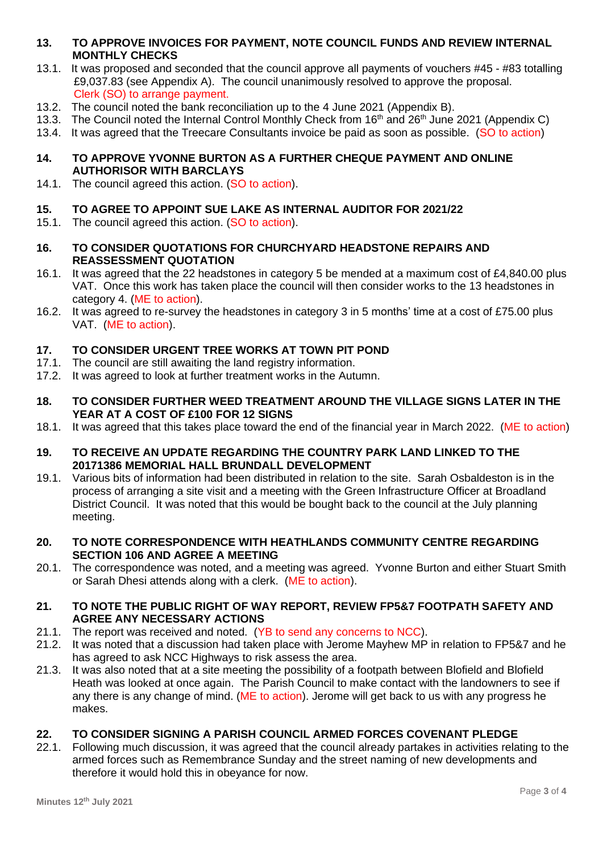- **13. TO APPROVE INVOICES FOR PAYMENT, NOTE COUNCIL FUNDS AND REVIEW INTERNAL MONTHLY CHECKS**
- 13.1. It was proposed and seconded that the council approve all payments of vouchers #45 #83 totalling £9,037.83 (see Appendix A). The council unanimously resolved to approve the proposal. Clerk (SO) to arrange payment.
- 13.2. The council noted the bank reconciliation up to the 4 June 2021 (Appendix B).
- 13.3. The Council noted the Internal Control Monthly Check from  $16<sup>th</sup>$  and  $26<sup>th</sup>$  June 2021 (Appendix C)
- 13.4. It was agreed that the Treecare Consultants invoice be paid as soon as possible. (SO to action)
- **14. TO APPROVE YVONNE BURTON AS A FURTHER CHEQUE PAYMENT AND ONLINE AUTHORISOR WITH BARCLAYS**
- 14.1. The council agreed this action. (SO to action).

# **15. TO AGREE TO APPOINT SUE LAKE AS INTERNAL AUDITOR FOR 2021/22**

- 15.1. The council agreed this action. (SO to action).
- **16. TO CONSIDER QUOTATIONS FOR CHURCHYARD HEADSTONE REPAIRS AND REASSESSMENT QUOTATION**
- 16.1. It was agreed that the 22 headstones in category 5 be mended at a maximum cost of £4,840.00 plus VAT. Once this work has taken place the council will then consider works to the 13 headstones in category 4. (ME to action).
- 16.2. It was agreed to re-survey the headstones in category 3 in 5 months' time at a cost of £75.00 plus VAT. (ME to action).

# **17. TO CONSIDER URGENT TREE WORKS AT TOWN PIT POND**

- 17.1. The council are still awaiting the land registry information.
- 17.2. It was agreed to look at further treatment works in the Autumn.
- **18. TO CONSIDER FURTHER WEED TREATMENT AROUND THE VILLAGE SIGNS LATER IN THE YEAR AT A COST OF £100 FOR 12 SIGNS**
- 18.1. It was agreed that this takes place toward the end of the financial year in March 2022. (ME to action)
- **19. TO RECEIVE AN UPDATE REGARDING THE COUNTRY PARK LAND LINKED TO THE 20171386 MEMORIAL HALL BRUNDALL DEVELOPMENT**
- 19.1. Various bits of information had been distributed in relation to the site. Sarah Osbaldeston is in the process of arranging a site visit and a meeting with the Green Infrastructure Officer at Broadland District Council. It was noted that this would be bought back to the council at the July planning meeting.
- **20. TO NOTE CORRESPONDENCE WITH HEATHLANDS COMMUNITY CENTRE REGARDING SECTION 106 AND AGREE A MEETING**
- 20.1. The correspondence was noted, and a meeting was agreed. Yvonne Burton and either Stuart Smith or Sarah Dhesi attends along with a clerk. (ME to action).
- **21. TO NOTE THE PUBLIC RIGHT OF WAY REPORT, REVIEW FP5&7 FOOTPATH SAFETY AND AGREE ANY NECESSARY ACTIONS**
- 21.1. The report was received and noted. (YB to send any concerns to NCC).
- 21.2. It was noted that a discussion had taken place with Jerome Mayhew MP in relation to FP5&7 and he has agreed to ask NCC Highways to risk assess the area.
- 21.3. It was also noted that at a site meeting the possibility of a footpath between Blofield and Blofield Heath was looked at once again. The Parish Council to make contact with the landowners to see if any there is any change of mind. (ME to action). Jerome will get back to us with any progress he makes.

#### **22. TO CONSIDER SIGNING A PARISH COUNCIL ARMED FORCES COVENANT PLEDGE**

22.1. Following much discussion, it was agreed that the council already partakes in activities relating to the armed forces such as Remembrance Sunday and the street naming of new developments and therefore it would hold this in obeyance for now.